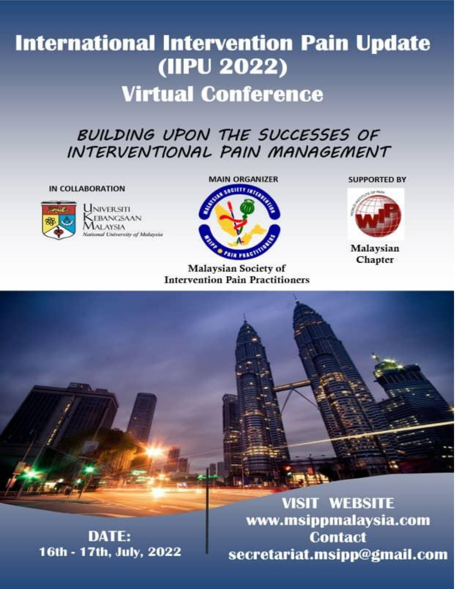# **International Intervention Pain Update** (IIPU 2022) **Virtual Conference**

## BUILDING UPON THE SUCCESSES OF INTERVENTIONAL PAIN MANAGEMENT

#### IN COLLABORATION



UNIVERSITI EBANGSAAN **ALAYSIA Vathwal University of Malaysia** 



**Malaysian Society of Intervention Pain Practitioners**  **SUPPORTED BY** 



Malaysian Chapter

**VISIT WEBSITE** www.msippmalaysia.com **DATE: Contact** 16th - 17th, July, 2022 secretariat.msipp@gmail.com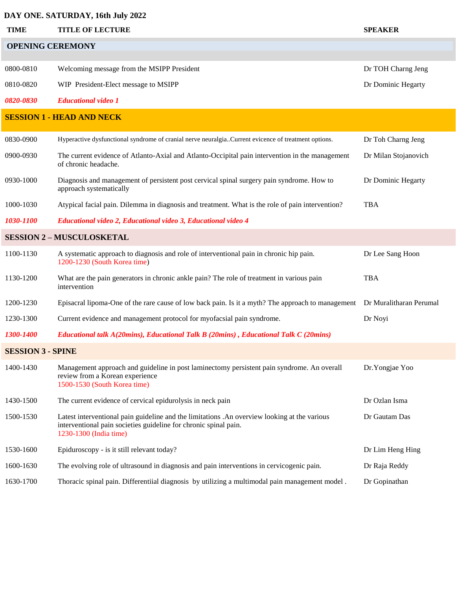### **DAY ONE. SATURDAY, 16th July 2022**

| DAT ORE. SATUNDAT, TOM JULY 2022 |                                                                                                                                                                                            |                         |  |  |
|----------------------------------|--------------------------------------------------------------------------------------------------------------------------------------------------------------------------------------------|-------------------------|--|--|
| <b>TIME</b>                      | <b>TITLE OF LECTURE</b>                                                                                                                                                                    | <b>SPEAKER</b>          |  |  |
| <b>OPENING CEREMONY</b>          |                                                                                                                                                                                            |                         |  |  |
| 0800-0810                        | Welcoming message from the MSIPP President                                                                                                                                                 | Dr TOH Charng Jeng      |  |  |
|                                  |                                                                                                                                                                                            |                         |  |  |
| 0810-0820                        | WIP President-Elect message to MSIPP                                                                                                                                                       | Dr Dominic Hegarty      |  |  |
| 0820-0830                        | <b>Educational video 1</b>                                                                                                                                                                 |                         |  |  |
|                                  | <b>SESSION 1 - HEAD AND NECK</b>                                                                                                                                                           |                         |  |  |
| 0830-0900                        | Hyperactive dysfunctional syndrome of cranial nerve neuralgia. Current evicence of treatment options.                                                                                      | Dr Toh Charng Jeng      |  |  |
| 0900-0930                        | The current evidence of Atlanto-Axial and Atlanto-Occipital pain intervention in the management<br>of chronic headache.                                                                    | Dr Milan Stojanovich    |  |  |
| 0930-1000                        | Diagnosis and management of persistent post cervical spinal surgery pain syndrome. How to<br>approach systematically                                                                       | Dr Dominic Hegarty      |  |  |
| 1000-1030                        | Atypical facial pain. Dilemma in diagnosis and treatment. What is the role of pain intervention?                                                                                           | <b>TBA</b>              |  |  |
| 1030-1100                        | Educational video 2, Educational video 3, Educational video 4                                                                                                                              |                         |  |  |
|                                  | <b>SESSION 2-MUSCULOSKETAL</b>                                                                                                                                                             |                         |  |  |
| 1100-1130                        | A systematic approach to diagnosis and role of interventional pain in chronic hip pain.<br>1200-1230 (South Korea time)                                                                    | Dr Lee Sang Hoon        |  |  |
| 1130-1200                        | What are the pain generators in chronic ankle pain? The role of treatment in various pain<br>intervention                                                                                  | <b>TBA</b>              |  |  |
| 1200-1230                        | Episacral lipoma-One of the rare cause of low back pain. Is it a myth? The approach to management                                                                                          | Dr Muralitharan Perumal |  |  |
| 1230-1300                        | Current evidence and management protocol for myofacsial pain syndrome.                                                                                                                     | Dr Noyi                 |  |  |
| 1300-1400                        | Educational talk A(20mins), Educational Talk B (20mins), Educational Talk C (20mins)                                                                                                       |                         |  |  |
| <b>SESSION 3 - SPINE</b>         |                                                                                                                                                                                            |                         |  |  |
| 1400-1430                        | Management approach and guideline in post laminectomy persistent pain syndrome. An overall<br>review from a Korean experience<br>1500-1530 (South Korea time)                              | Dr.Yongjae Yoo          |  |  |
| 1430-1500                        | The current evidence of cervical epidurolysis in neck pain                                                                                                                                 | Dr Ozlan Isma           |  |  |
| 1500-1530                        | Latest interventional pain guideline and the limitations .An overview looking at the various<br>interventional pain societies guideline for chronic spinal pain.<br>1230-1300 (India time) | Dr Gautam Das           |  |  |
| 1530-1600                        | Epiduroscopy - is it still relevant today?                                                                                                                                                 | Dr Lim Heng Hing        |  |  |
| 1600-1630                        | The evolving role of ultrasound in diagnosis and pain interventions in cervicogenic pain.                                                                                                  | Dr Raja Reddy           |  |  |
| 1630-1700                        | Thoracic spinal pain. Differentiial diagnosis by utilizing a multimodal pain management model.                                                                                             | Dr Gopinathan           |  |  |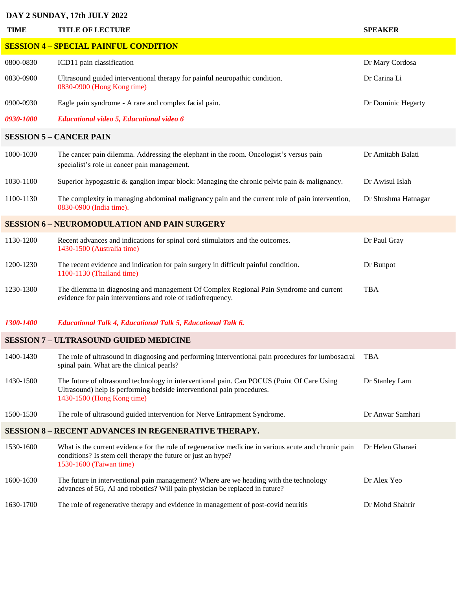#### **DAY 2 SUNDAY, 17th JULY 2022**

| <b>TIME</b>                                                 | <b>TITLE OF LECTURE</b>                                                                                                                                                                            | <b>SPEAKER</b>      |  |  |
|-------------------------------------------------------------|----------------------------------------------------------------------------------------------------------------------------------------------------------------------------------------------------|---------------------|--|--|
| <b>SESSION 4 - SPECIAL PAINFUL CONDITION</b>                |                                                                                                                                                                                                    |                     |  |  |
| 0800-0830                                                   | ICD11 pain classification                                                                                                                                                                          | Dr Mary Cordosa     |  |  |
| 0830-0900                                                   | Ultrasound guided interventional therapy for painful neuropathic condition.<br>0830-0900 (Hong Kong time)                                                                                          | Dr Carina Li        |  |  |
| 0900-0930                                                   | Eagle pain syndrome - A rare and complex facial pain.                                                                                                                                              | Dr Dominic Hegarty  |  |  |
| <i>0930-1000</i>                                            | <b>Educational video 5, Educational video 6</b>                                                                                                                                                    |                     |  |  |
| <b>SESSION 5 - CANCER PAIN</b>                              |                                                                                                                                                                                                    |                     |  |  |
| 1000-1030                                                   | The cancer pain dilemma. Addressing the elephant in the room. Oncologist's versus pain<br>specialist's role in cancer pain management.                                                             | Dr Amitabh Balati   |  |  |
| 1030-1100                                                   | Superior hypogastric $\&$ ganglion impar block: Managing the chronic pelvic pain $\&$ malignancy.                                                                                                  | Dr Awisul Islah     |  |  |
| 1100-1130                                                   | The complexity in managing abdominal malignancy pain and the current role of pain intervention,<br>0830-0900 (India time).                                                                         | Dr Shushma Hatnagar |  |  |
| <b>SESSION 6 - NEUROMODULATION AND PAIN SURGERY</b>         |                                                                                                                                                                                                    |                     |  |  |
| 1130-1200                                                   | Recent advances and indications for spinal cord stimulators and the outcomes.<br>1430-1500 (Australia time)                                                                                        | Dr Paul Gray        |  |  |
| 1200-1230                                                   | The recent evidence and indication for pain surgery in difficult painful condition.<br>1100-1130 (Thailand time)                                                                                   | Dr Bunpot           |  |  |
| 1230-1300                                                   | The dilemma in diagnosing and management Of Complex Regional Pain Syndrome and current<br>evidence for pain interventions and role of radiofrequency.                                              | <b>TBA</b>          |  |  |
| 1300-1400                                                   | <b>Educational Talk 4, Educational Talk 5, Educational Talk 6.</b>                                                                                                                                 |                     |  |  |
| <b>SESSION 7 - ULTRASOUND GUIDED MEDICINE</b>               |                                                                                                                                                                                                    |                     |  |  |
| 1400-1430                                                   | The role of ultrasound in diagnosing and performing interventional pain procedures for lumbosacral<br>spinal pain. What are the clinical pearls?                                                   | TBA                 |  |  |
| 1430-1500                                                   | The future of ultrasound technology in interventional pain. Can POCUS (Point Of Care Using<br>Ultrasound) help is performing bedside interventional pain procedures.<br>1430-1500 (Hong Kong time) | Dr Stanley Lam      |  |  |
| 1500-1530                                                   | The role of ultrasound guided intervention for Nerve Entrapment Syndrome.                                                                                                                          | Dr Anwar Samhari    |  |  |
| <b>SESSION 8 - RECENT ADVANCES IN REGENERATIVE THERAPY.</b> |                                                                                                                                                                                                    |                     |  |  |
| 1530-1600                                                   | What is the current evidence for the role of regenerative medicine in various acute and chronic pain<br>conditions? Is stem cell therapy the future or just an hype?<br>1530-1600 (Taiwan time)    | Dr Helen Gharaei    |  |  |
| 1600-1630                                                   | The future in interventional pain management? Where are we heading with the technology<br>advances of 5G, AI and robotics? Will pain physician be replaced in future?                              | Dr Alex Yeo         |  |  |
| 1630-1700                                                   | The role of regenerative therapy and evidence in management of post-covid neuritis                                                                                                                 | Dr Mohd Shahrir     |  |  |